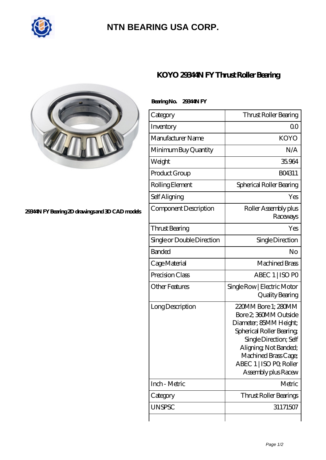

## **[NTN BEARING USA CORP.](https://m.tf-mael.com)**



## **[29344N FY Bearing 2D drawings and 3D CAD models](https://m.tf-mael.com/pic-211487.html)**

## **[KOYO 29344N FY Thrust Roller Bearing](https://m.tf-mael.com/at-211487-koyo-29344n-fy-thrust-roller-bearing.html)**

| Bearing No. 2934AN FY      |                                                                                                                                                                                                                                 |
|----------------------------|---------------------------------------------------------------------------------------------------------------------------------------------------------------------------------------------------------------------------------|
| Category                   | Thrust Roller Bearing                                                                                                                                                                                                           |
| Inventory                  | Q0                                                                                                                                                                                                                              |
| Manufacturer Name          | <b>KOYO</b>                                                                                                                                                                                                                     |
| Minimum Buy Quantity       | N/A                                                                                                                                                                                                                             |
| Weight                     | 35.964                                                                                                                                                                                                                          |
| Product Group              | BO4311                                                                                                                                                                                                                          |
| Rolling Element            | Spherical Roller Bearing                                                                                                                                                                                                        |
| Self Aligning              | Yes                                                                                                                                                                                                                             |
| Component Description      | Roller Assembly plus<br>Raceways                                                                                                                                                                                                |
| Thrust Bearing             | Yes                                                                                                                                                                                                                             |
| Single or Double Direction | Single Direction                                                                                                                                                                                                                |
| <b>Banded</b>              | No                                                                                                                                                                                                                              |
| Cage Material              | <b>Machined Brass</b>                                                                                                                                                                                                           |
| Precision Class            | ABEC 1   ISO PO                                                                                                                                                                                                                 |
| <b>Other Features</b>      | Single Row   Electric Motor<br>Quality Bearing                                                                                                                                                                                  |
| Long Description           | 220MM Bore 1; 280MM<br>Bore 2, 360MM Outside<br>Diameter; 85MM Height;<br>Spherical Roller Bearing<br>Single Direction; Self<br>Aligning, Not Banded;<br>Machined Brass Cage;<br>ABEC 1   ISO PO, Roller<br>Assembly plus Racew |
| Inch - Metric              | Metric                                                                                                                                                                                                                          |
| Category                   | <b>Thrust Roller Bearings</b>                                                                                                                                                                                                   |
| <b>UNSPSC</b>              | 31171507                                                                                                                                                                                                                        |